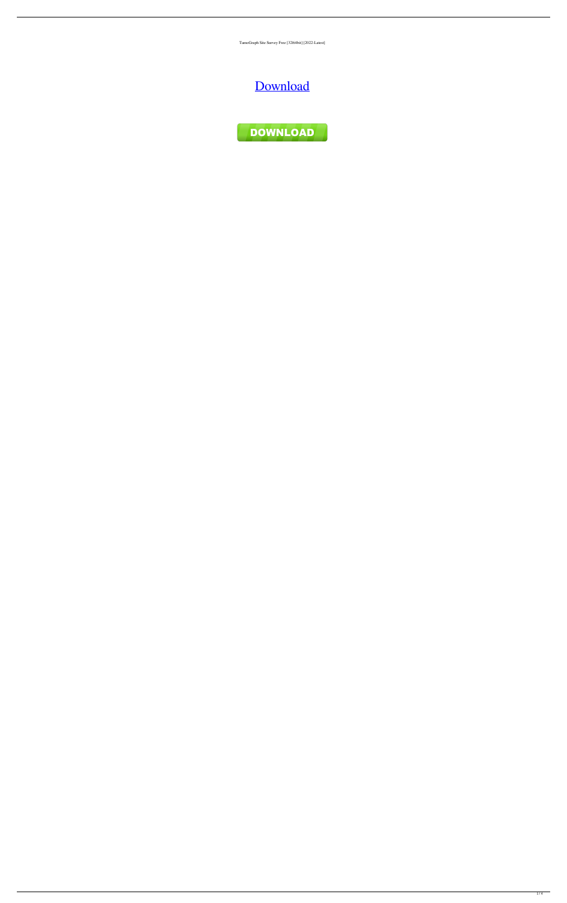TamoGraph Site Survey Free [32|64bit] [2022-Latest]

[Download](http://evacdir.com/etrust/brodeur/?corny=VGFtb0dyYXBoIFNpdGUgU3VydmV5VGF.esiason.ZG93bmxvYWR8TnoyTmpJNWZId3hOalUwTlRJeU1URXdmSHd5TlRjMGZId29UU2tnY21WaFpDMWliRzluSUZ0R1lYTjBJRWRGVGww.unsurprisingly.hanauma)

DOWNLOAD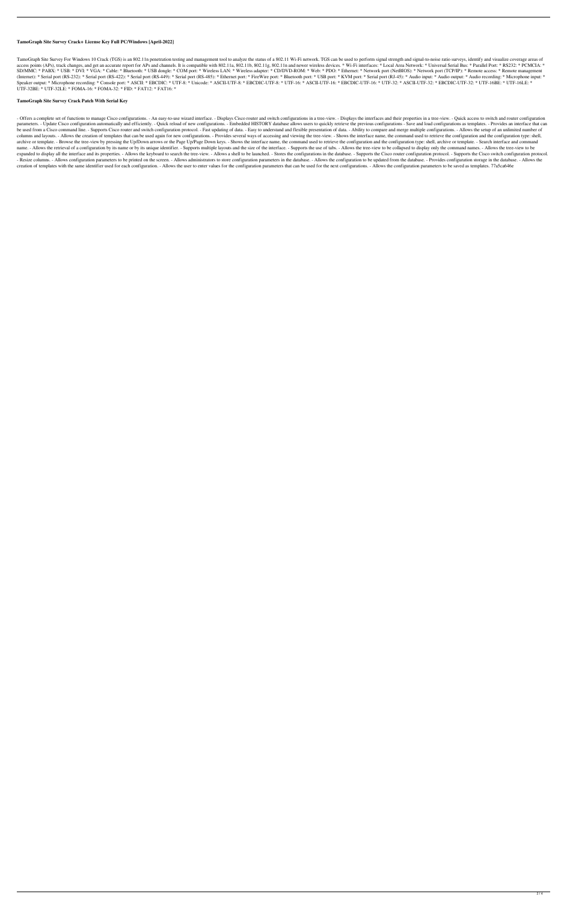# **TamoGraph Site Survey Crack+ License Key Full PC/Windows [April-2022]**

TamoGraph Site Survey For Windows 10 Crack (TGS) is an 802.11n penetration testing and management tool to analyze the status of a 802.11 Wi-Fi network. TGS can be used to perform signal strength and signal-to-noise ratio s access points (APs), track changes, and get an accurate report for APs and channels. It is compatible with 802.11a, 802.11b, 802.11b, 802.11n and newer wireless devices. \* Wi-Fi interfaces: \* Local Area Network: \* Universa SD/MMC: \* PABX: \* USB: \* DVI: \* VGA: \* Cable: \* Bluetooth: \* USB dongle: \* COM port: \* Wireless LAN: \* Wireless adapter: \* CD/DVD-ROM: \* Web: \* PDO: \* Ethernet: \* Network port (NetBIOS): \* Network port (TCP/IP): \* Remote a (Internet): \* Serial port (RS-232): \* Serial port (RS-422): \* Serial port (RS-449): \* Serial port (RS-455): \* Ethernet port: \* FireWire port: \* Bluetooth port: \* USB port: \* KVM port: \* Serial port (RJ-45): \* Audio input: Speaker output: \* Microphone recording: \* Console port: \* ASCII: \* EBCDIC: \* UTF-8: \* Unicode: \* ASCII-UTF-8: \* EBCDIC-UTF-16: \* ASCII-UTF-16: \* EBCDIC-UTF-16: \* EBCDIC-UTF-16: \* ASCII-UTF-32: \* EBCDIC-UTF-32: \* UTF-16BE: UTF-32BE: \* UTF-32LE: \* FOMA-16: \* FOMA-32: \* FID: \* FAT12: \* FAT16: \*

## **TamoGraph Site Survey Crack Patch With Serial Key**

- Offers a complete set of functions to manage Cisco configurations. - An easy-to-use wizard interface. - Displays Cisco router and switch configurations in a tree-view. - Displays the interfaces and their properties in a parameters. - Update Cisco configuration automatically and efficiently. - Quick reload of new configurations. - Embedded HISTORY database allows users to quickly retrieve the previous configurations - Save and load configu be used from a Cisco command line. - Supports Cisco router and switch configuration protocol. - Fast updating of data. - Easy to understand and flexible presentation of data. - Ability to compare and merge multiple configu columns and layouts. - Allows the creation of templates that can be used again for new configurations. - Provides several ways of accessing and viewing the tree-view. - Shows the interface name, the command used to retriev archive or template. - Browse the tree-view by pressing the Up/Down arrows or the Page Up/Page Down keys. - Shows the interface name, the command used to retrieve the configuration and the configuration type: shell, archiv name. - Allows the retrieval of a configuration by its name or by its unique identifier. - Supports multiple layouts and the size of the interface. - Supports the use of tabs. - Allows the tree-view to be collapsed to disp expanded to display all the interface and its properties. - Allows the keyboard to search the tree-view. - Allows a shell to be launched. - Stores the configurations in the database. - Supports the Cisco router configurati - Resize columns. - Allows configuration parameters to be printed on the screen. - Allows administrators to store configuration parameters in the database. - Allows the configuration to be updated from the database. - Prov creation of templates with the same identifier used for each configuration. - Allows the user to enter values for the configuration parameters that can be used for the next configurations. - Allows the configuration parame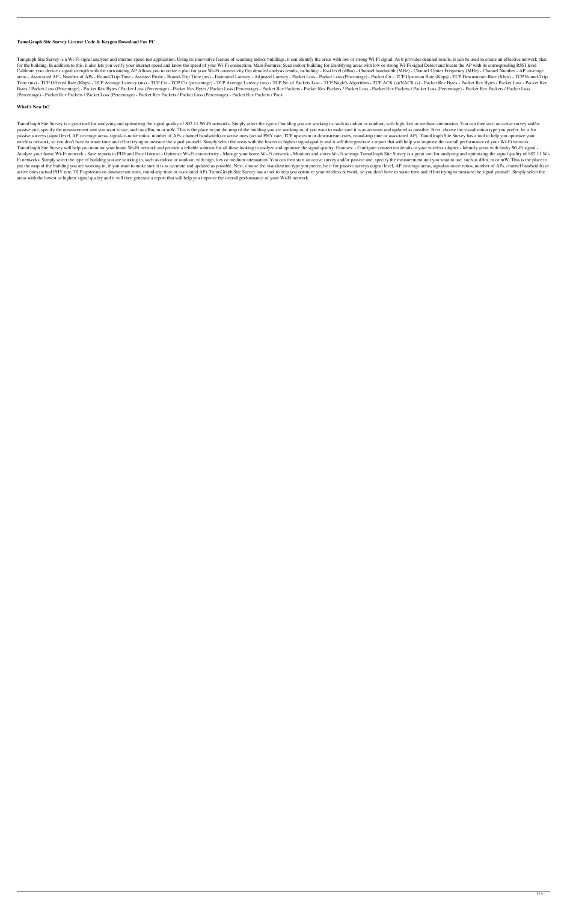## **TamoGraph Site Survey License Code & Keygen Download For PC**

Tamgraph Site Survey is a Wi-Fi signal analyzer and internet speed test application. Using its innovative feature of scanning indoor buildings, it can identify the areas with low or strong Wi-Fi signal. As it provides deta for the building. In addition to this, it also lets you verify your internet speed and know the speed of your Wi-Fi connection. Main Features: Scan indoor building for identifying areas with low or strong Wi-Fi signal Dete Calibrate your device's signal strength with the surrounding AP Allows you to create a plan for your Wi-Fi connectivity Get detailed analysis results, including: - Rssi level (dBm) - Channel bandwidth (MHz) - Channel Cente areas - Associated AP - Number of APs - Round-Trip Time - Assisted Probe - Round-Trip Time (ms) - Estimated Latency - Adjusted Latency - Packet Loss - Packet Loss (Percentage) - Packet Ctr - TCP Upstream Rate (Kbps) - TCP Time (ms) - TCP Offered Rate (Kbps) - TCP Average Latency (ms) - TCP Ctr - TCP Ctr (percentage) - TCP Average Latency (ms) - TCP Nr. of Packets Lost - TCP Nagle's Algorithm - TCP ACK (s)/NACK (s) - Packet Rcv Bytes - Packe Bytes / Packet Loss (Percentage) - Packet Rcv Bytes / Packet Loss (Percentage) - Packet Rcv Bytes / Packet Loss (Percentage) - Packet Rcv Packet Rcv Packet Loss - Packet Rcv Packets / Packet Rcv Packets / Packet Loss (Perc (Percentage) - Packet Rcv Packets / Packet Loss (Percentage) - Packet Rcv Packets / Packet Loss (Percentage) - Packet Rcv Packets / Pack

## **What's New In?**

TamoGraph Site Survey is a great tool for analyzing and optimizing the signal quality of 802.11 Wi-Fi networks. Simply select the type of building you are working in, such as indoor or outdoor, with high, low or medium att passive one, specify the measurement unit you want to use, such as dBm, m or mW. This is the place to put the map of the building you are working in, if you want to make sure it is as accurate and updated as possible. Next passive surveys (signal level, AP coverage areas, signal-to-noise ratios, number of APs, channel bandwidth) or active ones (actual PHY rate, TCP upstream or downstream rates, round-trip time or associated AP). TamoGraph Si wireless network, so you don't have to waste time and effort trying to measure the signal yourself. Simply select the areas with the lowest or highest signal quality and it will then generate a report that will help you im TamoGraph Site Survey will help you monitor your home Wi-Fi network and provide a reliable solution for all those looking to analyze and optimize the signal quality. Features: - Configure connection details to your wireles Analyze your home Wi-Fi network - Save reports in PDF and Excel format - Optimize Wi-Fi connectivity - Manage your home Wi-Fi network - Monitors and stores Wi-Fi settings TamoGraph Site Survey is a great tool for analyzing Fi networks. Simply select the type of building you are working in, such as indoor or outdoor, with high, low or medium attenuation. You can then start an active survey and/or passive one, specify the measurement unit you put the map of the building you are working in, if you want to make sure it is as accurate and updated as possible. Next, choose the visualization type you prefer, be it for passive surveys (signal level, AP coverage areas active ones (actual PHY rate, TCP upstream or downstream rates, round-trip time or associated AP). TamoGraph Site Survey has a tool to help you optimize your wireless network, so you don't have to waste time and effort try areas with the lowest or highest signal quality and it will then generate a report that will help you improve the overall performance of your Wi-Fi network.